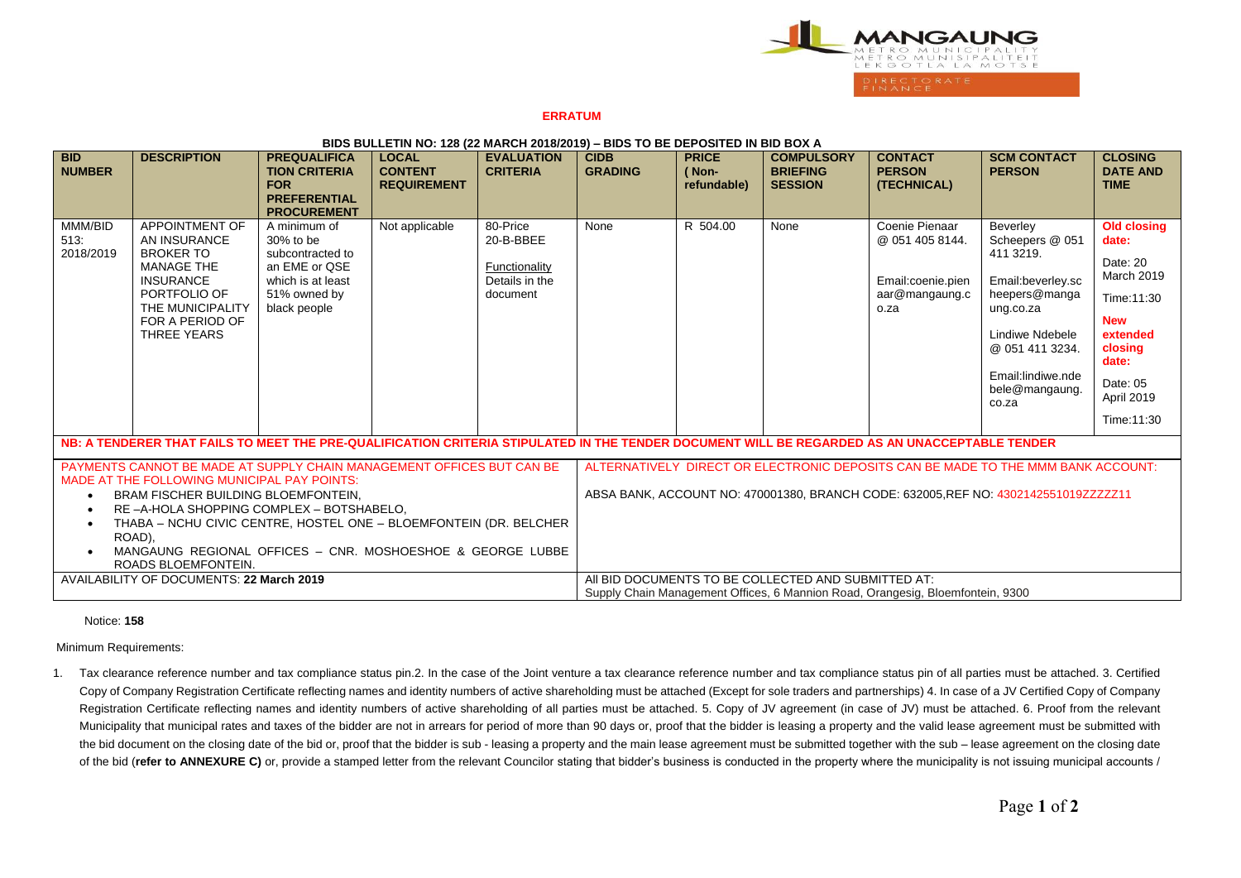

## **ERRATUM**

| <u>DIDO DOLLETIN NO. 120 (22 MANOIT 2010/2019) – DIDO TO DE DEI OOITED IN DID DOA A</u>                                                                                                                                                                                                                                                                                                                      |                                                                                                                                                                                 |                                                                                                                     |                                                      |                                                                      |                                                                                                                                                                         |                                      |                                                        |                                                                                  |                                                                                                                                                                                   |                                                                                                                                                    |
|--------------------------------------------------------------------------------------------------------------------------------------------------------------------------------------------------------------------------------------------------------------------------------------------------------------------------------------------------------------------------------------------------------------|---------------------------------------------------------------------------------------------------------------------------------------------------------------------------------|---------------------------------------------------------------------------------------------------------------------|------------------------------------------------------|----------------------------------------------------------------------|-------------------------------------------------------------------------------------------------------------------------------------------------------------------------|--------------------------------------|--------------------------------------------------------|----------------------------------------------------------------------------------|-----------------------------------------------------------------------------------------------------------------------------------------------------------------------------------|----------------------------------------------------------------------------------------------------------------------------------------------------|
| <b>BID</b><br><b>NUMBER</b>                                                                                                                                                                                                                                                                                                                                                                                  | <b>DESCRIPTION</b>                                                                                                                                                              | <b>PREQUALIFICA</b><br><b>TION CRITERIA</b><br><b>FOR</b><br><b>PREFERENTIAL</b><br><b>PROCUREMENT</b>              | <b>LOCAL</b><br><b>CONTENT</b><br><b>REQUIREMENT</b> | <b>EVALUATION</b><br><b>CRITERIA</b>                                 | <b>CIDB</b><br><b>GRADING</b>                                                                                                                                           | <b>PRICE</b><br>(Non-<br>refundable) | <b>COMPULSORY</b><br><b>BRIEFING</b><br><b>SESSION</b> | <b>CONTACT</b><br><b>PERSON</b><br>(TECHNICAL)                                   | <b>SCM CONTACT</b><br><b>PERSON</b>                                                                                                                                               | <b>CLOSING</b><br><b>DATE AND</b><br><b>TIME</b>                                                                                                   |
| MMM/BID<br>513:<br>2018/2019                                                                                                                                                                                                                                                                                                                                                                                 | <b>APPOINTMENT OF</b><br>AN INSURANCE<br><b>BROKER TO</b><br><b>MANAGE THE</b><br><b>INSURANCE</b><br>PORTFOLIO OF<br>THE MUNICIPALITY<br>FOR A PERIOD OF<br><b>THREE YEARS</b> | A minimum of<br>30% to be<br>subcontracted to<br>an EME or QSE<br>which is at least<br>51% owned by<br>black people | Not applicable                                       | 80-Price<br>20-B-BBEE<br>Functionality<br>Details in the<br>document | None                                                                                                                                                                    | R 504.00                             | None                                                   | Coenie Pienaar<br>@ 051 405 8144.<br>Email:coenie.pien<br>aar@mangaung.c<br>o.za | Beverley<br>Scheepers @ 051<br>411 3219.<br>Email:beverley.sc<br>heepers@manga<br>ung.co.za<br>Lindiwe Ndebele<br>@ 051 411 3234.<br>Email:lindiwe.nde<br>bele@mangaung.<br>co.za | Old closing<br>date:<br>Date: 20<br>March 2019<br>Time:11:30<br><b>New</b><br>extended<br>closing<br>date:<br>Date: 05<br>April 2019<br>Time:11:30 |
| NB: A TENDERER THAT FAILS TO MEET THE PRE-QUALIFICATION CRITERIA STIPULATED IN THE TENDER DOCUMENT WILL BE REGARDED AS AN UNACCEPTABLE TENDER                                                                                                                                                                                                                                                                |                                                                                                                                                                                 |                                                                                                                     |                                                      |                                                                      |                                                                                                                                                                         |                                      |                                                        |                                                                                  |                                                                                                                                                                                   |                                                                                                                                                    |
| PAYMENTS CANNOT BE MADE AT SUPPLY CHAIN MANAGEMENT OFFICES BUT CAN BE<br>MADE AT THE FOLLOWING MUNICIPAL PAY POINTS:<br><b>BRAM FISCHER BUILDING BLOEMFONTEIN.</b><br>RE-A-HOLA SHOPPING COMPLEX - BOTSHABELO.<br>$\bullet$<br>THABA - NCHU CIVIC CENTRE, HOSTEL ONE - BLOEMFONTEIN (DR. BELCHER<br>$\bullet$<br>ROAD).<br>MANGAUNG REGIONAL OFFICES - CNR. MOSHOESHOE & GEORGE LUBBE<br>ROADS BLOEMFONTEIN. |                                                                                                                                                                                 |                                                                                                                     |                                                      |                                                                      | ALTERNATIVELY DIRECT OR ELECTRONIC DEPOSITS CAN BE MADE TO THE MMM BANK ACCOUNT:<br>ABSA BANK, ACCOUNT NO: 470001380, BRANCH CODE: 632005, REF NO: 4302142551019ZZZZZ11 |                                      |                                                        |                                                                                  |                                                                                                                                                                                   |                                                                                                                                                    |
| AVAILABILITY OF DOCUMENTS: 22 March 2019                                                                                                                                                                                                                                                                                                                                                                     |                                                                                                                                                                                 |                                                                                                                     |                                                      |                                                                      | All BID DOCUMENTS TO BE COLLECTED AND SUBMITTED AT:<br>Supply Chain Management Offices, 6 Mannion Road, Orangesig, Bloemfontein, 9300                                   |                                      |                                                        |                                                                                  |                                                                                                                                                                                   |                                                                                                                                                    |

## **BIDS BULLETIN NO: 128 (22 MARCH 2018/2019) – BIDS TO BE DEPOSITED IN BID BOX A**

## Notice: **158**

Minimum Requirements:

1. Tax clearance reference number and tax compliance status pin.2. In the case of the Joint venture a tax clearance reference number and tax compliance status pin of all parties must be attached. 3. Certified Copy of Company Registration Certificate reflecting names and identity numbers of active shareholding must be attached (Except for sole traders and partnerships) 4. In case of a JV Certified Copy of Company Registration Certificate reflecting names and identity numbers of active shareholding of all parties must be attached. 5. Copy of JV agreement (in case of JV) must be attached. 6. Proof from the relevant Municipality that municipal rates and taxes of the bidder are not in arrears for period of more than 90 days or, proof that the bidder is leasing a property and the valid lease agreement must be submitted with the bid document on the closing date of the bid or, proof that the bidder is sub - leasing a property and the main lease agreement must be submitted together with the sub – lease agreement on the closing date of the bid (**refer to ANNEXURE C**) or, provide a stamped letter from the relevant Councilor stating that bidder's business is conducted in the property where the municipality is not issuing municipal accounts /